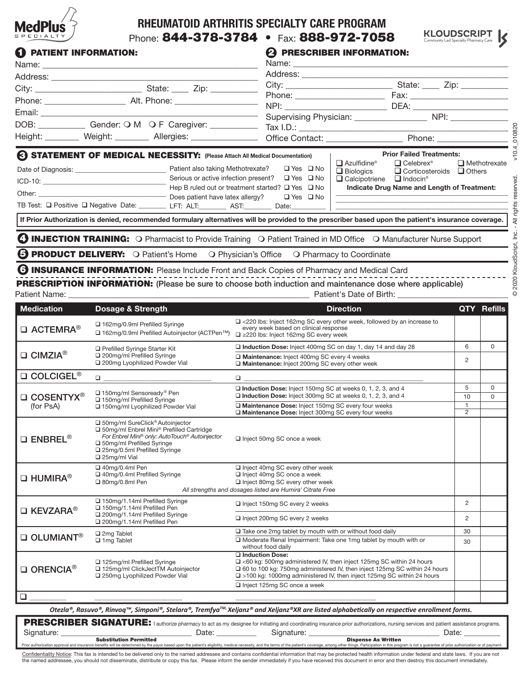

# **RHEUMATOID ARTHRITIS SPECIALTY CARE PROGRAM** Phone: 844-378-3784 • Fax: 888-972-7058

| <b>KLOUDSCRIPT</b>                    |  |
|---------------------------------------|--|
| Community Led Specialty Pharmacy Care |  |

### $\bullet$  patient information:  $\bullet$

#### **2 PRESCRIBER INFORMATION:**

| <b>63 STATEMENT OF MEDICAL NECESSITY:</b> (Please Attach All Medical Documentation)  |                               | <b>Prior Failed Treatments:</b> |  |
|--------------------------------------------------------------------------------------|-------------------------------|---------------------------------|--|
| Height: Weight: Weight: Allergies: Manual Chice Contact: Manual Phone: Manual Phone: |                               |                                 |  |
| DOB: Gender: O M O F Caregiver: Tax I.D.: Tax I.D.: Tax I.D.                         |                               |                                 |  |
|                                                                                      |                               |                                 |  |
|                                                                                      |                               |                                 |  |
|                                                                                      | Phone: ______________________ |                                 |  |
|                                                                                      |                               |                                 |  |
|                                                                                      |                               |                                 |  |
|                                                                                      |                               |                                 |  |

|                                                |                                                            |                      | $\Box$ Azulfidine®   | $\Box$ Celebrex <sup>®</sup>                | $\Box$ Methotrexate |
|------------------------------------------------|------------------------------------------------------------|----------------------|----------------------|---------------------------------------------|---------------------|
| Date of Diagnosis:                             | Patient also taking Methotrexate?                          | $\Box$ Yes $\Box$ No | $\Box$ Biologics     | $\Box$ Corticosteroids                      | $\Box$ Others       |
| $ICD-10$ :                                     | Serious or active infection present?                       | $\Box$ Yes $\Box$ No | $\Box$ Calcipotriene | $\Box$ Indocin®                             |                     |
|                                                | Hep B ruled out or treatment started? $\Box$ Yes $\Box$ No |                      |                      | Indicate Drug Name and Length of Treatment: |                     |
| Other:                                         | Does patient have latex allergy?                           | $\Box$ Yes $\Box$ No |                      |                                             |                     |
| TB Test: $\Box$ Positive $\Box$ Negative Date: | LFT: ALT:<br>AST:                                          | Date:                |                      |                                             |                     |
|                                                |                                                            |                      |                      |                                             |                     |

**If Prior Authorization is denied, recommended formulary alternatives will be provided to the prescriber based upon the patient's insurance coverage.**

**1 INJECTION TRAINING:** O Pharmacist to Provide Training O Patient Trained in MD Office O Manufacturer Nurse Support

**D PRODUCT DELIVERY:** O Patient's Home O Physician's Office O Pharmacy to Coordinate

**G INSURANCE INFORMATION:** Please Include Front and Back Copies of Pharmacy and Medical Card

Patient Name: \_\_\_\_\_\_\_\_\_\_\_\_\_\_\_\_\_\_\_\_\_\_\_\_\_\_\_\_\_\_\_\_\_\_\_\_\_\_\_\_\_\_\_\_\_\_\_\_\_\_\_\_\_\_\_\_\_\_\_\_ Patient's Date of Birth: \_\_\_\_\_\_\_\_\_\_\_\_\_\_\_\_\_\_\_\_\_\_\_\_\_\_\_\_ PRESCRIPTION INFORMATION: (Please be sure to choose both induction and maintenance dose where applicable)

| <b>Medication</b>             | Dosage & Strength                                                                                                                                                                                                              | <b>Direction</b>                                                                                                                                                                                                                                     |                                | <b>QTY Refills</b> |
|-------------------------------|--------------------------------------------------------------------------------------------------------------------------------------------------------------------------------------------------------------------------------|------------------------------------------------------------------------------------------------------------------------------------------------------------------------------------------------------------------------------------------------------|--------------------------------|--------------------|
| $\Box$ ACTEMRA <sup>®</sup>   | □ 162mg/0.9ml Prefilled Syringe<br>□ 162mg/0.9ml Prefilled Autoinjector (ACTPen™)                                                                                                                                              | □ <220 lbs: Inject 162mg SC every other week, followed by an increase to<br>every week based on clinical response<br>$\Box$ ≥220 lbs: Inject 162mg SC every week                                                                                     |                                |                    |
|                               | □ Prefilled Syringe Starter Kit                                                                                                                                                                                                | □ Induction Dose: Inject 400mg SC on day 1, day 14 and day 28                                                                                                                                                                                        | 6                              | 0                  |
| $\Box$ CIMZIA <sup>®</sup>    | 200mg/ml Prefilled Syringe<br>200mg Lyophilized Powder Vial                                                                                                                                                                    | Maintenance: Inject 400mg SC every 4 weeks<br>Maintenance: Inject 200mg SC every other week                                                                                                                                                          | 2                              |                    |
| $\Box$ COLCIGEL <sup>®</sup>  | $\Box$                                                                                                                                                                                                                         | $\Box$                                                                                                                                                                                                                                               |                                |                    |
| $\square$ COSENTYX®           | □ 150mg/ml Sensoready <sup>®</sup> Pen<br>□ 150mg/ml Prefilled Syringe                                                                                                                                                         | Induction Dose: Inject 150mg SC at weeks 0, 1, 2, 3, and 4<br>□ Induction Dose: Inject 300mg SC at weeks 0, 1, 2, 3, and 4                                                                                                                           |                                | $\Omega$<br>0      |
| (for PsA)                     | □ 150mg/ml Lyophilized Powder Vial                                                                                                                                                                                             | □ Maintenance Dose: Inject 150mg SC every four weeks<br>Maintenance Dose: Inject 300mg SC every four weeks                                                                                                                                           | $\mathbf{1}$<br>$\overline{2}$ |                    |
| $\square$ ENBREL <sup>®</sup> | □ 50mg/ml SureClick® Autoinjector<br>□ 50mg/ml Enbrel Mini <sup>®</sup> Prefilled Cartridge<br>For Enbrel Mini® only: AutoTouch® Autoinjector<br>□ 50mg/ml Prefilled Syringe<br>25mg/0.5ml Prefilled Syringe<br>□ 25mg/ml Vial | □ Inject 50mg SC once a week                                                                                                                                                                                                                         |                                |                    |
| $\Box$ HUMIRA <sup>®</sup>    | □ 40mg/0.4ml Pen<br>40mg/0.4ml Prefilled Syringe<br>□ 80mg/0.8ml Pen                                                                                                                                                           | □ Inject 40mg SC every other week<br>□ Inject 40mg SC once a week<br>□ Inject 80mg SC every other week<br>All strengths and dosages listed are Humira <sup>®</sup> Citrate Free                                                                      |                                |                    |
|                               | □ 150mg/1.14ml Prefilled Syringe                                                                                                                                                                                               | □ Inject 150mg SC every 2 weeks                                                                                                                                                                                                                      | 2                              |                    |
| $\Box$ KEVZARA®               | □ 150mg/1.14ml Prefilled Pen<br>200mg/1.14ml Prefilled Syringe<br>□ 200mg/1.14ml Prefilled Pen                                                                                                                                 | □ Inject 200mg SC every 2 weeks                                                                                                                                                                                                                      | 2                              |                    |
|                               | $\Box$ 2mg Tablet                                                                                                                                                                                                              | $\Box$ Take one 2mg tablet by mouth with or without food daily                                                                                                                                                                                       | 30                             |                    |
| $\square$ OLUMIANT®           | $\Box$ 1 mg Tablet                                                                                                                                                                                                             | □ Moderate Renal Impairment: Take one 1mg tablet by mouth with or<br>without food daily                                                                                                                                                              | 30                             |                    |
| $\Box$ ORENCIA <sup>®</sup>   | □ 125mg/ml Prefilled Syringe<br>□ 125mg/ml ClickJectTM Autoinjector<br>□ 250mg Lyophilized Powder Vial                                                                                                                         | □ Induction Dose:<br>□ <60 kg: 500mg administered IV, then inject 125mg SC within 24 hours<br>□ 60 to 100 kg: 750mg administered IV, then inject 125mg SC within 24 hours<br>□ >100 kg: 1000mg administered IV, then inject 125mg SC within 24 hours |                                |                    |
|                               |                                                                                                                                                                                                                                | □ Inject 125mg SC once a week                                                                                                                                                                                                                        |                                |                    |
| $\Box$                        |                                                                                                                                                                                                                                |                                                                                                                                                                                                                                                      |                                |                    |

*Otezla®, Rasuvo®, Rinvoq™, Simponi®, Stelara®, TremfyaTM, Xeljanz® and Xeljanz®XR are listed alphabetically on respective enrollment forms.* 

fits will be determined by the payor based upon the patient's eligibility, medical necessity, and the terms of the patient's coverage, among other things. Participation in this program PRESCRIBER SIGNATURE: I authorize pharmacy to act as my designee for initiating and coordinating insurance prior authorizations, nursing services and patient assistance programs. Substitution Permitted **Dispense As Written** Signature: \_\_\_\_\_\_\_\_\_\_\_\_\_\_\_\_\_\_\_\_\_\_\_\_\_\_\_\_\_\_\_\_\_\_ Date: \_\_\_\_\_\_\_\_\_\_\_ Signature: \_\_\_\_\_\_\_\_\_\_\_\_\_\_\_\_\_\_\_\_\_\_\_\_\_\_\_\_\_\_\_\_\_\_ Date: \_\_\_\_\_\_\_\_\_\_

<u>Confidentiality Notice</u>: This fax is intended to be delivered only to the named addressee and contains confidential information that may be protected health information under federal and state laws. If you are not<br>the nam